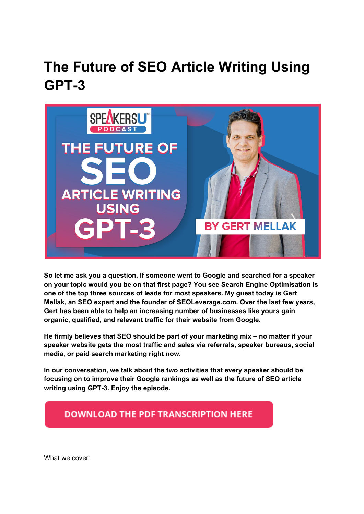# **The Future of SEO Article Writing Using GPT-3**



**So let me ask you a question. If someone went to Google and searched for a speaker on your topic would you be on that first page? You see Search Engine Optimisation is one of the top three sources of leads for most speakers. My guest today is Gert Mellak, an SEO expert and the founder of SEOLeverage.com. Over the last few years, Gert has been able to help an increasing number of businesses like yours gain organic, qualified, and relevant traffic for their website from Google.**

**He firmly believes that SEO should be part of your marketing mix – no matter if your speaker website gets the most traffic and sales via referrals, speaker bureaus, social media, or paid search marketing right now.**

**In our conversation, we talk about the two activities that every speaker should be focusing on to improve their Google rankings as well as the future of SEO article writing using GPT-3. Enjoy the episode.**

### **DOWNLOAD THE PDF TRANSCRIPTION HERE**

What we cover: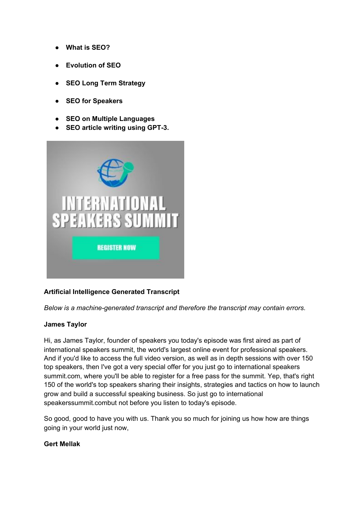- **What is SEO?**
- **Evolution of SEO**
- **SEO Long Term Strategy**
- **SEO for Speakers**
- **SEO on Multiple Languages**
- **SEO article writing using GPT-3.**



#### **Artificial Intelligence Generated Transcript**

*Below is a machine-generated transcript and therefore the transcript may contain errors.*

#### **James Taylor**

Hi, as James Taylor, founder of speakers you today's episode was first aired as part of international speakers summit, the world's largest online event for professional speakers. And if you'd like to access the full video version, as well as in depth sessions with over 150 top speakers, then I've got a very special offer for you just go to international speakers summit.com, where you'll be able to register for a free pass for the summit. Yep, that's right 150 of the world's top speakers sharing their insights, strategies and tactics on how to launch grow and build a successful speaking business. So just go to international speakerssummit.combut not before you listen to today's episode.

So good, good to have you with us. Thank you so much for joining us how how are things going in your world just now,

#### **Gert Mellak**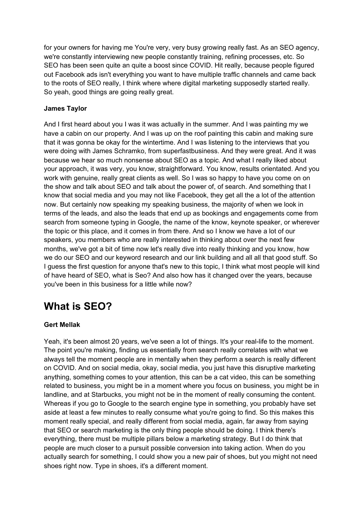for your owners for having me You're very, very busy growing really fast. As an SEO agency, we're constantly interviewing new people constantly training, refining processes, etc. So SEO has been seen quite an quite a boost since COVID. Hit really, because people figured out Facebook ads isn't everything you want to have multiple traffic channels and came back to the roots of SEO really, I think where where digital marketing supposedly started really. So yeah, good things are going really great.

#### **James Taylor**

And I first heard about you I was it was actually in the summer. And I was painting my we have a cabin on our property. And I was up on the roof painting this cabin and making sure that it was gonna be okay for the wintertime. And I was listening to the interviews that you were doing with James Schramko, from superfastbusiness. And they were great. And it was because we hear so much nonsense about SEO as a topic. And what I really liked about your approach, it was very, you know, straightforward. You know, results orientated. And you work with genuine, really great clients as well. So I was so happy to have you come on on the show and talk about SEO and talk about the power of, of search. And something that I know that social media and you may not like Facebook, they get all the a lot of the attention now. But certainly now speaking my speaking business, the majority of when we look in terms of the leads, and also the leads that end up as bookings and engagements come from search from someone typing in Google, the name of the know, keynote speaker, or wherever the topic or this place, and it comes in from there. And so I know we have a lot of our speakers, you members who are really interested in thinking about over the next few months, we've got a bit of time now let's really dive into really thinking and you know, how we do our SEO and our keyword research and our link building and all all that good stuff. So I guess the first question for anyone that's new to this topic, I think what most people will kind of have heard of SEO, what is Seo? And also how has it changed over the years, because you've been in this business for a little while now?

### **What is SEO?**

#### **Gert Mellak**

Yeah, it's been almost 20 years, we've seen a lot of things. It's your real-life to the moment. The point you're making, finding us essentially from search really correlates with what we always tell the moment people are in mentally when they perform a search is really different on COVID. And on social media, okay, social media, you just have this disruptive marketing anything, something comes to your attention, this can be a cat video, this can be something related to business, you might be in a moment where you focus on business, you might be in landline, and at Starbucks, you might not be in the moment of really consuming the content. Whereas if you go to Google to the search engine type in something, you probably have set aside at least a few minutes to really consume what you're going to find. So this makes this moment really special, and really different from social media, again, far away from saying that SEO or search marketing is the only thing people should be doing. I think there's everything, there must be multiple pillars below a marketing strategy. But I do think that people are much closer to a pursuit possible conversion into taking action. When do you actually search for something, I could show you a new pair of shoes, but you might not need shoes right now. Type in shoes, it's a different moment.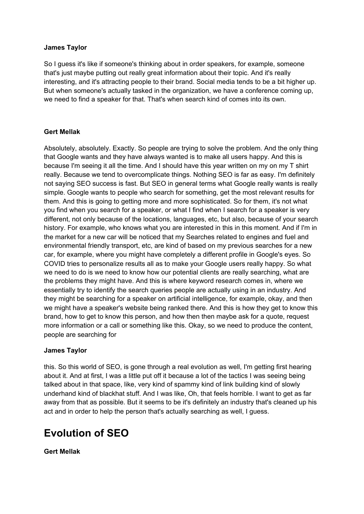#### **James Taylor**

So I guess it's like if someone's thinking about in order speakers, for example, someone that's just maybe putting out really great information about their topic. And it's really interesting, and it's attracting people to their brand. Social media tends to be a bit higher up. But when someone's actually tasked in the organization, we have a conference coming up, we need to find a speaker for that. That's when search kind of comes into its own.

#### **Gert Mellak**

Absolutely, absolutely. Exactly. So people are trying to solve the problem. And the only thing that Google wants and they have always wanted is to make all users happy. And this is because I'm seeing it all the time. And I should have this year written on my on my T shirt really. Because we tend to overcomplicate things. Nothing SEO is far as easy. I'm definitely not saying SEO success is fast. But SEO in general terms what Google really wants is really simple. Google wants to people who search for something, get the most relevant results for them. And this is going to getting more and more sophisticated. So for them, it's not what you find when you search for a speaker, or what I find when I search for a speaker is very different, not only because of the locations, languages, etc, but also, because of your search history. For example, who knows what you are interested in this in this moment. And if I'm in the market for a new car will be noticed that my Searches related to engines and fuel and environmental friendly transport, etc, are kind of based on my previous searches for a new car, for example, where you might have completely a different profile in Google's eyes. So COVID tries to personalize results all as to make your Google users really happy. So what we need to do is we need to know how our potential clients are really searching, what are the problems they might have. And this is where keyword research comes in, where we essentially try to identify the search queries people are actually using in an industry. And they might be searching for a speaker on artificial intelligence, for example, okay, and then we might have a speaker's website being ranked there. And this is how they get to know this brand, how to get to know this person, and how then then maybe ask for a quote, request more information or a call or something like this. Okay, so we need to produce the content, people are searching for

#### **James Taylor**

this. So this world of SEO, is gone through a real evolution as well, I'm getting first hearing about it. And at first, I was a little put off it because a lot of the tactics I was seeing being talked about in that space, like, very kind of spammy kind of link building kind of slowly underhand kind of blackhat stuff. And I was like, Oh, that feels horrible. I want to get as far away from that as possible. But it seems to be it's definitely an industry that's cleaned up his act and in order to help the person that's actually searching as well, I guess.

### **Evolution of SEO**

**Gert Mellak**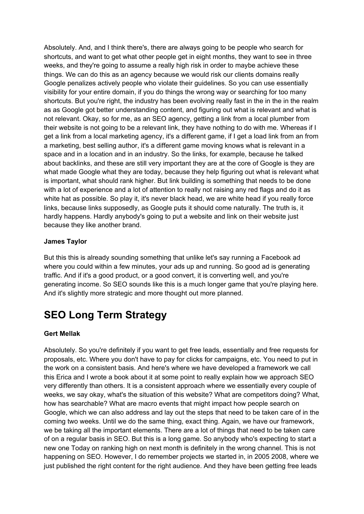Absolutely. And, and I think there's, there are always going to be people who search for shortcuts, and want to get what other people get in eight months, they want to see in three weeks, and they're going to assume a really high risk in order to maybe achieve these things. We can do this as an agency because we would risk our clients domains really Google penalizes actively people who violate their guidelines. So you can use essentially visibility for your entire domain, if you do things the wrong way or searching for too many shortcuts. But you're right, the industry has been evolving really fast in the in the in the realm as as Google got better understanding content, and figuring out what is relevant and what is not relevant. Okay, so for me, as an SEO agency, getting a link from a local plumber from their website is not going to be a relevant link, they have nothing to do with me. Whereas if I get a link from a local marketing agency, it's a different game, if I get a load link from an from a marketing, best selling author, it's a different game moving knows what is relevant in a space and in a location and in an industry. So the links, for example, because he talked about backlinks, and these are still very important they are at the core of Google is they are what made Google what they are today, because they help figuring out what is relevant what is important, what should rank higher. But link building is something that needs to be done with a lot of experience and a lot of attention to really not raising any red flags and do it as white hat as possible. So play it, it's never black head, we are white head if you really force links, because links supposedly, as Google puts it should come naturally. The truth is, it hardly happens. Hardly anybody's going to put a website and link on their website just because they like another brand.

#### **James Taylor**

But this this is already sounding something that unlike let's say running a Facebook ad where you could within a few minutes, your ads up and running. So good ad is generating traffic. And if it's a good product, or a good convert, it is converting well, and you're generating income. So SEO sounds like this is a much longer game that you're playing here. And it's slightly more strategic and more thought out more planned.

### **SEO Long Term Strategy**

#### **Gert Mellak**

Absolutely. So you're definitely if you want to get free leads, essentially and free requests for proposals, etc. Where you don't have to pay for clicks for campaigns, etc. You need to put in the work on a consistent basis. And here's where we have developed a framework we call this Erica and I wrote a book about it at some point to really explain how we approach SEO very differently than others. It is a consistent approach where we essentially every couple of weeks, we say okay, what's the situation of this website? What are competitors doing? What, how has searchable? What are macro events that might impact how people search on Google, which we can also address and lay out the steps that need to be taken care of in the coming two weeks. Until we do the same thing, exact thing. Again, we have our framework, we be taking all the important elements. There are a lot of things that need to be taken care of on a regular basis in SEO. But this is a long game. So anybody who's expecting to start a new one Today on ranking high on next month is definitely in the wrong channel. This is not happening on SEO. However, I do remember projects we started in, in 2005 2008, where we just published the right content for the right audience. And they have been getting free leads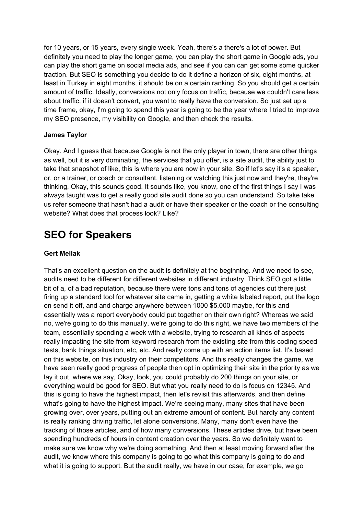for 10 years, or 15 years, every single week. Yeah, there's a there's a lot of power. But definitely you need to play the longer game, you can play the short game in Google ads, you can play the short game on social media ads, and see if you can can get some some quicker traction. But SEO is something you decide to do it define a horizon of six, eight months, at least in Turkey in eight months, it should be on a certain ranking. So you should get a certain amount of traffic. Ideally, conversions not only focus on traffic, because we couldn't care less about traffic, if it doesn't convert, you want to really have the conversion. So just set up a time frame, okay, I'm going to spend this year is going to be the year where I tried to improve my SEO presence, my visibility on Google, and then check the results.

#### **James Taylor**

Okay. And I guess that because Google is not the only player in town, there are other things as well, but it is very dominating, the services that you offer, is a site audit, the ability just to take that snapshot of like, this is where you are now in your site. So if let's say it's a speaker, or, or a trainer, or coach or consultant, listening or watching this just now and they're, they're thinking, Okay, this sounds good. It sounds like, you know, one of the first things I say I was always taught was to get a really good site audit done so you can understand. So take take us refer someone that hasn't had a audit or have their speaker or the coach or the consulting website? What does that process look? Like?

### **SEO for Speakers**

#### **Gert Mellak**

That's an excellent question on the audit is definitely at the beginning. And we need to see, audits need to be different for different websites in different industry. Think SEO got a little bit of a, of a bad reputation, because there were tons and tons of agencies out there just firing up a standard tool for whatever site came in, getting a white labeled report, put the logo on send it off, and and charge anywhere between 1000 \$5,000 maybe, for this and essentially was a report everybody could put together on their own right? Whereas we said no, we're going to do this manually, we're going to do this right, we have two members of the team, essentially spending a week with a website, trying to research all kinds of aspects really impacting the site from keyword research from the existing site from this coding speed tests, bank things situation, etc, etc. And really come up with an action items list. It's based on this website, on this industry on their competitors. And this really changes the game, we have seen really good progress of people then opt in optimizing their site in the priority as we lay it out, where we say, Okay, look, you could probably do 200 things on your site, or everything would be good for SEO. But what you really need to do is focus on 12345. And this is going to have the highest impact, then let's revisit this afterwards, and then define what's going to have the highest impact. We're seeing many, many sites that have been growing over, over years, putting out an extreme amount of content. But hardly any content is really ranking driving traffic, let alone conversions. Many, many don't even have the tracking of those articles, and of how many conversions. These articles drive, but have been spending hundreds of hours in content creation over the years. So we definitely want to make sure we know why we're doing something. And then at least moving forward after the audit, we know where this company is going to go what this company is going to do and what it is going to support. But the audit really, we have in our case, for example, we go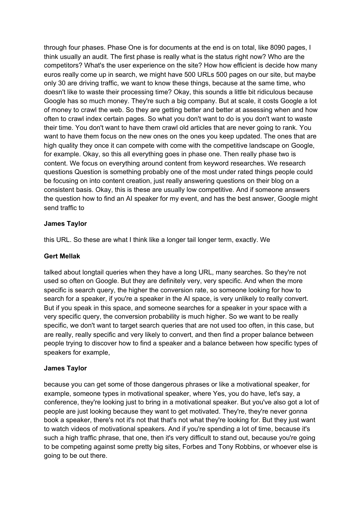through four phases. Phase One is for documents at the end is on total, like 8090 pages, I think usually an audit. The first phase is really what is the status right now? Who are the competitors? What's the user experience on the site? How how efficient is decide how many euros really come up in search, we might have 500 URLs 500 pages on our site, but maybe only 30 are driving traffic, we want to know these things, because at the same time, who doesn't like to waste their processing time? Okay, this sounds a little bit ridiculous because Google has so much money. They're such a big company. But at scale, it costs Google a lot of money to crawl the web. So they are getting better and better at assessing when and how often to crawl index certain pages. So what you don't want to do is you don't want to waste their time. You don't want to have them crawl old articles that are never going to rank. You want to have them focus on the new ones on the ones you keep updated. The ones that are high quality they once it can compete with come with the competitive landscape on Google, for example. Okay, so this all everything goes in phase one. Then really phase two is content. We focus on everything around content from keyword researches. We research questions Question is something probably one of the most under rated things people could be focusing on into content creation, just really answering questions on their blog on a consistent basis. Okay, this is these are usually low competitive. And if someone answers the question how to find an AI speaker for my event, and has the best answer, Google might send traffic to

#### **James Taylor**

this URL. So these are what I think like a longer tail longer term, exactly. We

#### **Gert Mellak**

talked about longtail queries when they have a long URL, many searches. So they're not used so often on Google. But they are definitely very, very specific. And when the more specific is search query, the higher the conversion rate, so someone looking for how to search for a speaker, if you're a speaker in the AI space, is very unlikely to really convert. But if you speak in this space, and someone searches for a speaker in your space with a very specific query, the conversion probability is much higher. So we want to be really specific, we don't want to target search queries that are not used too often, in this case, but are really, really specific and very likely to convert, and then find a proper balance between people trying to discover how to find a speaker and a balance between how specific types of speakers for example,

#### **James Taylor**

because you can get some of those dangerous phrases or like a motivational speaker, for example, someone types in motivational speaker, where Yes, you do have, let's say, a conference, they're looking just to bring in a motivational speaker. But you've also got a lot of people are just looking because they want to get motivated. They're, they're never gonna book a speaker, there's not it's not that that's not what they're looking for. But they just want to watch videos of motivational speakers. And if you're spending a lot of time, because it's such a high traffic phrase, that one, then it's very difficult to stand out, because you're going to be competing against some pretty big sites, Forbes and Tony Robbins, or whoever else is going to be out there.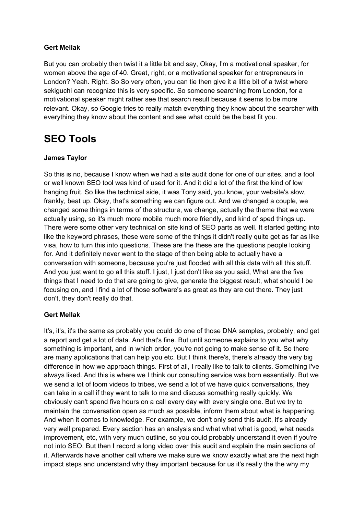#### **Gert Mellak**

But you can probably then twist it a little bit and say, Okay, I'm a motivational speaker, for women above the age of 40. Great, right, or a motivational speaker for entrepreneurs in London? Yeah. Right. So So very often, you can tie then give it a little bit of a twist where sekiguchi can recognize this is very specific. So someone searching from London, for a motivational speaker might rather see that search result because it seems to be more relevant. Okay, so Google tries to really match everything they know about the searcher with everything they know about the content and see what could be the best fit you.

## **SEO Tools**

#### **James Taylor**

So this is no, because I know when we had a site audit done for one of our sites, and a tool or well known SEO tool was kind of used for it. And it did a lot of the first the kind of low hanging fruit. So like the technical side, it was Tony said, you know, your website's slow, frankly, beat up. Okay, that's something we can figure out. And we changed a couple, we changed some things in terms of the structure, we change, actually the theme that we were actually using, so it's much more mobile much more friendly, and kind of sped things up. There were some other very technical on site kind of SEO parts as well. It started getting into like the keyword phrases, these were some of the things it didn't really quite get as far as like visa, how to turn this into questions. These are the these are the questions people looking for. And it definitely never went to the stage of then being able to actually have a conversation with someone, because you're just flooded with all this data with all this stuff. And you just want to go all this stuff. I just, I just don't like as you said, What are the five things that I need to do that are going to give, generate the biggest result, what should I be focusing on, and I find a lot of those software's as great as they are out there. They just don't, they don't really do that.

#### **Gert Mellak**

It's, it's, it's the same as probably you could do one of those DNA samples, probably, and get a report and get a lot of data. And that's fine. But until someone explains to you what why something is important, and in which order, you're not going to make sense of it. So there are many applications that can help you etc. But I think there's, there's already the very big difference in how we approach things. First of all, I really like to talk to clients. Something I've always liked. And this is where we I think our consulting service was born essentially. But we we send a lot of loom videos to tribes, we send a lot of we have quick conversations, they can take in a call if they want to talk to me and discuss something really quickly. We obviously can't spend five hours on a call every day with every single one. But we try to maintain the conversation open as much as possible, inform them about what is happening. And when it comes to knowledge. For example, we don't only send this audit, it's already very well prepared. Every section has an analysis and what what what is good, what needs improvement, etc, with very much outline, so you could probably understand it even if you're not into SEO. But then I record a long video over this audit and explain the main sections of it. Afterwards have another call where we make sure we know exactly what are the next high impact steps and understand why they important because for us it's really the the why my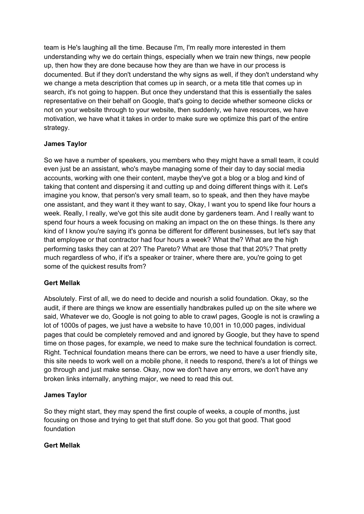team is He's laughing all the time. Because I'm, I'm really more interested in them understanding why we do certain things, especially when we train new things, new people up, then how they are done because how they are than we have in our process is documented. But if they don't understand the why signs as well, if they don't understand why we change a meta description that comes up in search, or a meta title that comes up in search, it's not going to happen. But once they understand that this is essentially the sales representative on their behalf on Google, that's going to decide whether someone clicks or not on your website through to your website, then suddenly, we have resources, we have motivation, we have what it takes in order to make sure we optimize this part of the entire strategy.

#### **James Taylor**

So we have a number of speakers, you members who they might have a small team, it could even just be an assistant, who's maybe managing some of their day to day social media accounts, working with one their content, maybe they've got a blog or a blog and kind of taking that content and dispersing it and cutting up and doing different things with it. Let's imagine you know, that person's very small team, so to speak, and then they have maybe one assistant, and they want it they want to say, Okay, I want you to spend like four hours a week. Really, I really, we've got this site audit done by gardeners team. And I really want to spend four hours a week focusing on making an impact on the on these things. Is there any kind of I know you're saying it's gonna be different for different businesses, but let's say that that employee or that contractor had four hours a week? What the? What are the high performing tasks they can at 20? The Pareto? What are those that that 20%? That pretty much regardless of who, if it's a speaker or trainer, where there are, you're going to get some of the quickest results from?

#### **Gert Mellak**

Absolutely. First of all, we do need to decide and nourish a solid foundation. Okay, so the audit, if there are things we know are essentially handbrakes pulled up on the site where we said, Whatever we do, Google is not going to able to crawl pages, Google is not is crawling a lot of 1000s of pages, we just have a website to have 10,001 in 10,000 pages, individual pages that could be completely removed and and ignored by Google, but they have to spend time on those pages, for example, we need to make sure the technical foundation is correct. Right. Technical foundation means there can be errors, we need to have a user friendly site, this site needs to work well on a mobile phone, it needs to respond, there's a lot of things we go through and just make sense. Okay, now we don't have any errors, we don't have any broken links internally, anything major, we need to read this out.

#### **James Taylor**

So they might start, they may spend the first couple of weeks, a couple of months, just focusing on those and trying to get that stuff done. So you got that good. That good foundation

#### **Gert Mellak**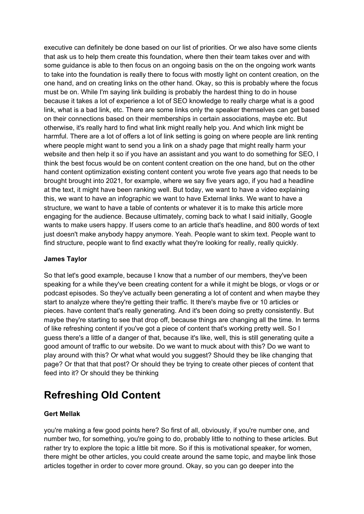executive can definitely be done based on our list of priorities. Or we also have some clients that ask us to help them create this foundation, where then their team takes over and with some guidance is able to then focus on an ongoing basis on the on the ongoing work wants to take into the foundation is really there to focus with mostly light on content creation, on the one hand, and on creating links on the other hand. Okay, so this is probably where the focus must be on. While I'm saying link building is probably the hardest thing to do in house because it takes a lot of experience a lot of SEO knowledge to really charge what is a good link, what is a bad link, etc. There are some links only the speaker themselves can get based on their connections based on their memberships in certain associations, maybe etc. But otherwise, it's really hard to find what link might really help you. And which link might be harmful. There are a lot of offers a lot of link setting is going on where people are link renting where people might want to send you a link on a shady page that might really harm your website and then help it so if you have an assistant and you want to do something for SEO, I think the best focus would be on content content creation on the one hand, but on the other hand content optimization existing content content you wrote five years ago that needs to be brought brought into 2021, for example, where we say five years ago, if you had a headline at the text, it might have been ranking well. But today, we want to have a video explaining this, we want to have an infographic we want to have External links. We want to have a structure, we want to have a table of contents or whatever it is to make this article more engaging for the audience. Because ultimately, coming back to what I said initially, Google wants to make users happy. If users come to an article that's headline, and 800 words of text just doesn't make anybody happy anymore. Yeah. People want to skim text. People want to find structure, people want to find exactly what they're looking for really, really quickly.

#### **James Taylor**

So that let's good example, because I know that a number of our members, they've been speaking for a while they've been creating content for a while it might be blogs, or vlogs or or podcast episodes. So they've actually been generating a lot of content and when maybe they start to analyze where they're getting their traffic. It there's maybe five or 10 articles or pieces. have content that's really generating. And it's been doing so pretty consistently. But maybe they're starting to see that drop off, because things are changing all the time. In terms of like refreshing content if you've got a piece of content that's working pretty well. So I guess there's a little of a danger of that, because it's like, well, this is still generating quite a good amount of traffic to our website. Do we want to muck about with this? Do we want to play around with this? Or what what would you suggest? Should they be like changing that page? Or that that that post? Or should they be trying to create other pieces of content that feed into it? Or should they be thinking

# **Refreshing Old Content**

#### **Gert Mellak**

you're making a few good points here? So first of all, obviously, if you're number one, and number two, for something, you're going to do, probably little to nothing to these articles. But rather try to explore the topic a little bit more. So if this is motivational speaker, for women, there might be other articles, you could create around the same topic, and maybe link those articles together in order to cover more ground. Okay, so you can go deeper into the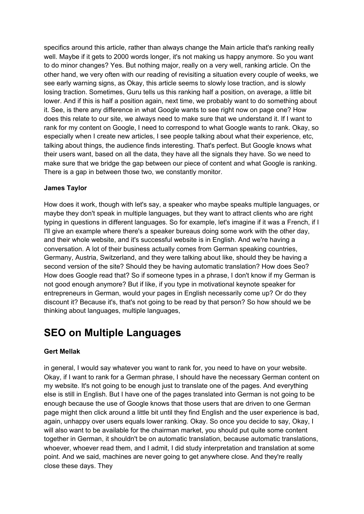specifics around this article, rather than always change the Main article that's ranking really well. Maybe if it gets to 2000 words longer, it's not making us happy anymore. So you want to do minor changes? Yes. But nothing major, really on a very well, ranking article. On the other hand, we very often with our reading of revisiting a situation every couple of weeks, we see early warning signs, as Okay, this article seems to slowly lose traction, and is slowly losing traction. Sometimes, Guru tells us this ranking half a position, on average, a little bit lower. And if this is half a position again, next time, we probably want to do something about it. See, is there any difference in what Google wants to see right now on page one? How does this relate to our site, we always need to make sure that we understand it. If I want to rank for my content on Google, I need to correspond to what Google wants to rank. Okay, so especially when I create new articles, I see people talking about what their experience, etc, talking about things, the audience finds interesting. That's perfect. But Google knows what their users want, based on all the data, they have all the signals they have. So we need to make sure that we bridge the gap between our piece of content and what Google is ranking. There is a gap in between those two, we constantly monitor.

#### **James Taylor**

How does it work, though with let's say, a speaker who maybe speaks multiple languages, or maybe they don't speak in multiple languages, but they want to attract clients who are right typing in questions in different languages. So for example, let's imagine if it was a French, if I I'll give an example where there's a speaker bureaus doing some work with the other day, and their whole website, and it's successful website is in English. And we're having a conversation. A lot of their business actually comes from German speaking countries, Germany, Austria, Switzerland, and they were talking about like, should they be having a second version of the site? Should they be having automatic translation? How does Seo? How does Google read that? So if someone types in a phrase, I don't know if my German is not good enough anymore? But if like, if you type in motivational keynote speaker for entrepreneurs in German, would your pages in English necessarily come up? Or do they discount it? Because it's, that's not going to be read by that person? So how should we be thinking about languages, multiple languages,

### **SEO on Multiple Languages**

#### **Gert Mellak**

in general, I would say whatever you want to rank for, you need to have on your website. Okay, if I want to rank for a German phrase, I should have the necessary German content on my website. It's not going to be enough just to translate one of the pages. And everything else is still in English. But I have one of the pages translated into German is not going to be enough because the use of Google knows that those users that are driven to one German page might then click around a little bit until they find English and the user experience is bad, again, unhappy over users equals lower ranking. Okay. So once you decide to say, Okay, I will also want to be available for the chairman market, you should put quite some content together in German, it shouldn't be on automatic translation, because automatic translations, whoever, whoever read them, and I admit, I did study interpretation and translation at some point. And we said, machines are never going to get anywhere close. And they're really close these days. They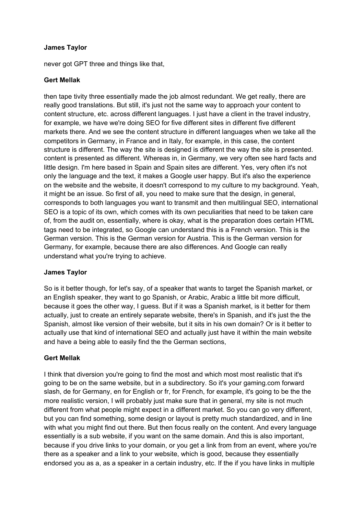#### **James Taylor**

never got GPT three and things like that,

#### **Gert Mellak**

then tape tivity three essentially made the job almost redundant. We get really, there are really good translations. But still, it's just not the same way to approach your content to content structure, etc. across different languages. I just have a client in the travel industry, for example, we have we're doing SEO for five different sites in different five different markets there. And we see the content structure in different languages when we take all the competitors in Germany, in France and in Italy, for example, in this case, the content structure is different. The way the site is designed is different the way the site is presented. content is presented as different. Whereas in, in Germany, we very often see hard facts and little design. I'm here based in Spain and Spain sites are different. Yes, very often it's not only the language and the text, it makes a Google user happy. But it's also the experience on the website and the website, it doesn't correspond to my culture to my background. Yeah, it might be an issue. So first of all, you need to make sure that the design, in general, corresponds to both languages you want to transmit and then multilingual SEO, international SEO is a topic of its own, which comes with its own peculiarities that need to be taken care of, from the audit on, essentially, where is okay, what is the preparation does certain HTML tags need to be integrated, so Google can understand this is a French version. This is the German version. This is the German version for Austria. This is the German version for Germany, for example, because there are also differences. And Google can really understand what you're trying to achieve.

#### **James Taylor**

So is it better though, for let's say, of a speaker that wants to target the Spanish market, or an English speaker, they want to go Spanish, or Arabic, Arabic a little bit more difficult, because it goes the other way, I guess. But if it was a Spanish market, is it better for them actually, just to create an entirely separate website, there's in Spanish, and it's just the the Spanish, almost like version of their website, but it sits in his own domain? Or is it better to actually use that kind of international SEO and actually just have it within the main website and have a being able to easily find the the German sections,

#### **Gert Mellak**

I think that diversion you're going to find the most and which most most realistic that it's going to be on the same website, but in a subdirectory. So it's your gaming.com forward slash, de for Germany, en for English or fr, for French, for example, it's going to be the the more realistic version, I will probably just make sure that in general, my site is not much different from what people might expect in a different market. So you can go very different, but you can find something, some design or layout is pretty much standardized, and in line with what you might find out there. But then focus really on the content. And every language essentially is a sub website, if you want on the same domain. And this is also important, because if you drive links to your domain, or you get a link from from an event, where you're there as a speaker and a link to your website, which is good, because they essentially endorsed you as a, as a speaker in a certain industry, etc. If the if you have links in multiple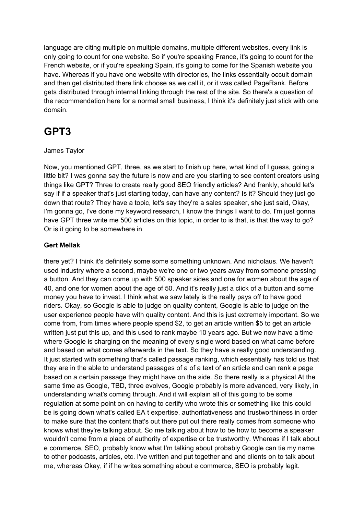language are citing multiple on multiple domains, multiple different websites, every link is only going to count for one website. So if you're speaking France, it's going to count for the French website, or if you're speaking Spain, it's going to come for the Spanish website you have. Whereas if you have one website with directories, the links essentially occult domain and then get distributed there link choose as we call it, or it was called PageRank. Before gets distributed through internal linking through the rest of the site. So there's a question of the recommendation here for a normal small business, I think it's definitely just stick with one domain.

# **GPT3**

#### James Taylor

Now, you mentioned GPT, three, as we start to finish up here, what kind of I guess, going a little bit? I was gonna say the future is now and are you starting to see content creators using things like GPT? Three to create really good SEO friendly articles? And frankly, should let's say if if a speaker that's just starting today, can have any content? Is it? Should they just go down that route? They have a topic, let's say they're a sales speaker, she just said, Okay, I'm gonna go, I've done my keyword research, I know the things I want to do. I'm just gonna have GPT three write me 500 articles on this topic, in order to is that, is that the way to go? Or is it going to be somewhere in

#### **Gert Mellak**

there yet? I think it's definitely some some something unknown. And nicholaus. We haven't used industry where a second, maybe we're one or two years away from someone pressing a button. And they can come up with 500 speaker sides and one for women about the age of 40, and one for women about the age of 50. And it's really just a click of a button and some money you have to invest. I think what we saw lately is the really pays off to have good riders. Okay, so Google is able to judge on quality content, Google is able to judge on the user experience people have with quality content. And this is just extremely important. So we come from, from times where people spend \$2, to get an article written \$5 to get an article written just put this up, and this used to rank maybe 10 years ago. But we now have a time where Google is charging on the meaning of every single word based on what came before and based on what comes afterwards in the text. So they have a really good understanding. It just started with something that's called passage ranking, which essentially has told us that they are in the able to understand passages of a of a text of an article and can rank a page based on a certain passage they might have on the side. So there really is a physical At the same time as Google, TBD, three evolves, Google probably is more advanced, very likely, in understanding what's coming through. And it will explain all of this going to be some regulation at some point on on having to certify who wrote this or something like this could be is going down what's called EA t expertise, authoritativeness and trustworthiness in order to make sure that the content that's out there put out there really comes from someone who knows what they're talking about. So me talking about how to be how to become a speaker wouldn't come from a place of authority of expertise or be trustworthy. Whereas if I talk about e commerce, SEO, probably know what I'm talking about probably Google can tie my name to other podcasts, articles, etc. I've written and put together and and clients on to talk about me, whereas Okay, if if he writes something about e commerce, SEO is probably legit.